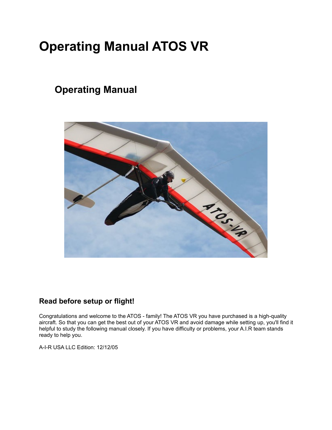# **Operating Manual ATOS VR**

## **Operating Manual**



## **Read before setup or flight!**

Congratulations and welcome to the ATOS - family! The ATOS VR you have purchased is a high-quality aircraft. So that you can get the best out of your ATOS VR and avoid damage while setting up, you'll find it helpful to study the following manual closely. If you have difficulty or problems, your A.I.R team stands ready to help you.

A-I-R USA LLC Edition: 12/12/05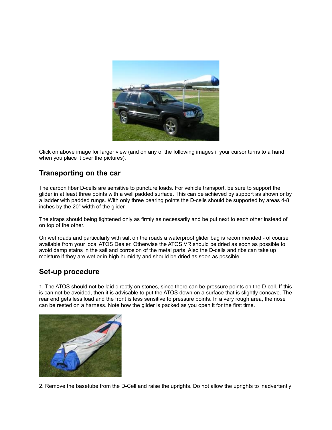

Click on above image for larger view (and on any of the following images if your cursor turns to a hand when you place it over the pictures).

#### **Transporting on the car**

The carbon fiber D-cells are sensitive to puncture loads. For vehicle transport, be sure to support the glider in at least three points with a well padded surface. This can be achieved by support as shown or by a ladder with padded rungs. With only three bearing points the D-cells should be supported by areas 4-8 inches by the 20" width of the glider.

The straps should being tightened only as firmly as necessarily and be put next to each other instead of on top of the other.

On wet roads and particularly with salt on the roads a waterproof glider bag is recommended - of course available from your local ATOS Dealer. Otherwise the ATOS VR should be dried as soon as possible to avoid damp stains in the sail and corrosion of the metal parts. Also the D-cells and ribs can take up moisture if they are wet or in high humidity and should be dried as soon as possible.

#### **Set-up procedure**

1. The ATOS should not be laid directly on stones, since there can be pressure points on the D-cell. If this is can not be avoided, then it is advisable to put the ATOS down on a surface that is slightly concave. The rear end gets less load and the front is less sensitive to pressure points. In a very rough area, the nose can be rested on a harness. Note how the glider is packed as you open it for the first time.



2. Remove the basetube from the D-Cell and raise the uprights. Do not allow the uprights to inadvertently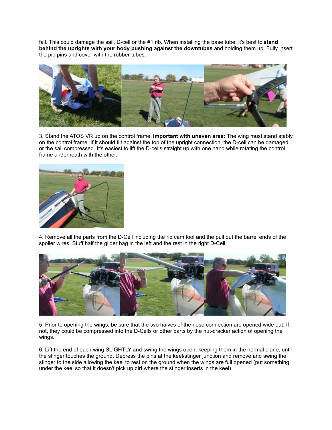fall. This could damage the sail, D-cell or the #1 rib. When installing the base tube, it's best to **stand behind the uprights with your body pushing against the downtubes** and holding them up. Fully insert the pip pins and cover with the rubber tubes.



3. Stand the ATOS VR up on the control frame. **Important with uneven area:** The wing must stand stably on the control frame. If it should tilt against the top of the upright connection, the D-cell can be damaged or the sail compressed. It's easiest to lift the D-cells straight up with one hand while rotating the control frame underneath with the other.



4. Remove all the parts from the D-Cell including the rib cam tool and the pull out the barrel ends of the spoiler wires. Stuff half the glider bag in the left and the rest in the right D-Cell.



5. Prior to opening the wings, be sure that the two halves of the nose connection are opened wide out. If not, they could be compressed into the D-Cells or other parts by the nut-cracker action of opening the wings.

6. Lift the end of each wing SLIGHTLY and swing the wings open, keeping them in the normal plane, until the stinger touches the ground. Depress the pins at the keel/stinger junction and remove and swing the stinger to the side allowing the keel to rest on the ground when the wings are full opened (put something under the keel so that it doesn't pick up dirt where the stinger inserts in the keel)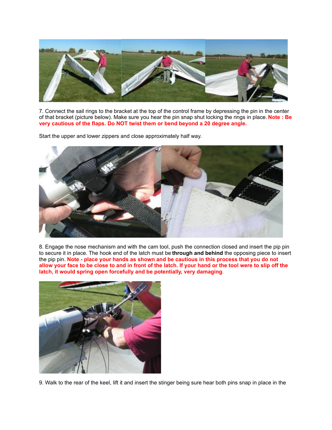

7. Connect the sail rings to the bracket at the top of the control frame by depressing the pin in the center of that bracket (picture below). Make sure you hear the pin snap shut locking the rings in place. **Note : Be very cautious of the flaps. Do NOT twist them or bend beyond a 20 degree angle.**

Start the upper and lower zippers and close approximately half way.



8. Engage the nose mechanism and with the cam tool, push the connection closed and insert the pip pin to secure it in place. The hook end of the latch must be **through and behind** the opposing piece to insert the pip pin. **Note - place your hands as shown and be cautious in this process that you do not allow your face to be close to and in front of the latch. If your hand or the tool were to slip off the latch, it would spring open forcefully and be potentially, very damaging**.



9. Walk to the rear of the keel, lift it and insert the stinger being sure hear both pins snap in place in the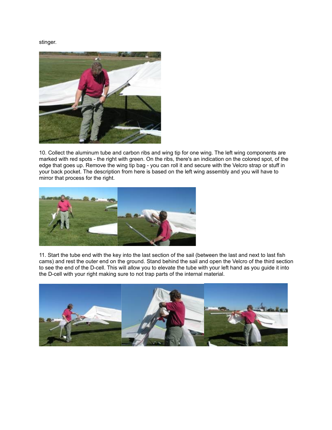stinger.



10. Collect the aluminum tube and carbon ribs and wing tip for one wing. The left wing components are marked with red spots - the right with green. On the ribs, there's an indication on the colored spot, of the edge that goes up. Remove the wing tip bag - you can roll it and secure with the Velcro strap or stuff in your back pocket. The description from here is based on the left wing assembly and you will have to mirror that process for the right.



11. Start the tube end with the key into the last section of the sail (between the last and next to last fish cams) and rest the outer end on the ground. Stand behind the sail and open the Velcro of the third section to see the end of the D-cell. This will allow you to elevate the tube with your left hand as you guide it into the D-cell with your right making sure to not trap parts of the internal material.

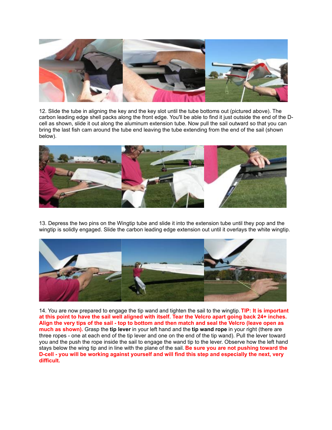

12. Slide the tube in aligning the key and the key slot until the tube bottoms out (pictured above). The carbon leading edge shell packs along the front edge. You'll be able to find it just outside the end of the Dcell as shown, slide it out along the aluminum extension tube. Now pull the sail outward so that you can bring the last fish cam around the tube end leaving the tube extending from the end of the sail (shown below).



13. Depress the two pins on the Wingtip tube and slide it into the extension tube until they pop and the wingtip is solidly engaged. Slide the carbon leading edge extension out until it overlays the white wingtip.



14. You are now prepared to engage the tip wand and tighten the sail to the wingtip. **TIP: It is important at this point to have the sail well aligned with itself. Tear the Velcro apart going back 24+ inches. Align the very tips of the sail - top to bottom and then match and seal the Velcro (leave open as much as shown).** Grasp the **tip lever** in your left hand and the **tip wand rope** in your right (there are three ropes - one at each end of the tip lever and one on the end of the tip wand). Pull the lever toward you and the push the rope inside the sail to engage the wand tip to the lever. Observe how the left hand stays below the wing tip and in line with the plane of the sail. **Be sure you are not pushing toward the D-cell - you will be working against yourself and will find this step and especially the next, very difficult.**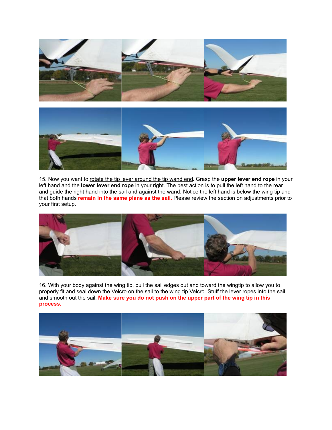



15. Now you want to rotate the tip lever around the tip wand end. Grasp the **upper lever end rope** in your left hand and the **lower lever end rope** in your right. The best action is to pull the left hand to the rear and guide the right hand into the sail and against the wand. Notice the left hand is below the wing tip and that both hands **remain in the same plane as the sail.** Please review the section on adjustments prior to your first setup.



16. With your body against the wing tip, pull the sail edges out and toward the wingtip to allow you to properly fit and seal down the Velcro on the sail to the wing tip Velcro. Stuff the lever ropes into the sail and smooth out the sail. **Make sure you do not push on the upper part of the wing tip in this process.**

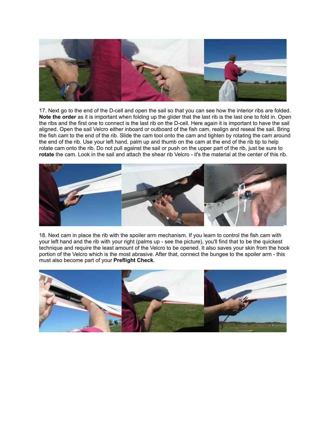![](_page_7_Picture_0.jpeg)

17. Next go to the end of the D-cell and open the sail so that you can see how the interior ribs are folded. **Note the order** as it is important when folding up the glider that the last rib is the last one to fold in. Open the ribs and the first one to connect is the last rib on the D-cell. Here again it is important to have the sail aligned. Open the sail Velcro either inboard or outboard of the fish cam, realign and reseal the sail. Bring the fish cam to the end of the rib. Slide the cam tool onto the cam and tighten by rotating the cam around the end of the rib. Use your left hand, palm up and thumb on the cam at the end of the rib tip to help rotate cam onto the rib. Do not pull against the sail or push on the upper part of the rib, just be sure to **rotate** the cam. Look in the sail and attach the shear rib Velcro - it's the material at the center of this rib.

![](_page_7_Picture_2.jpeg)

18. Next cam in place the rib with the spoiler arm mechanism. If you learn to control the fish cam with your left hand and the rib with your right (palms up - see the picture), you'll find that to be the quickest technique and require the least amount of the Velcro to be opened. It also saves your skin from the hook portion of the Velcro which is the most abrasive. After that, connect the bungee to the spoiler arm - this must also become part of your **Preflight Check**.

![](_page_7_Picture_4.jpeg)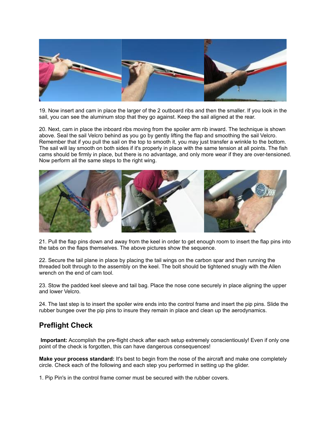![](_page_8_Picture_0.jpeg)

19. Now insert and cam in place the larger of the 2 outboard ribs and then the smaller. If you look in the sail, you can see the aluminum stop that they go against. Keep the sail aligned at the rear.

20. Next, cam in place the inboard ribs moving from the spoiler arm rib inward. The technique is shown above. Seal the sail Velcro behind as you go by gently lifting the flap and smoothing the sail Velcro. Remember that if you pull the sail on the top to smooth it, you may just transfer a wrinkle to the bottom. The sail will lay smooth on both sides if it's properly in place with the same tension at all points. The fish cams should be firmly in place, but there is no advantage, and only more wear if they are over-tensioned. Now perform all the same steps to the right wing.

![](_page_8_Picture_3.jpeg)

21. Pull the flap pins down and away from the keel in order to get enough room to insert the flap pins into the tabs on the flaps themselves. The above pictures show the sequence.

22. Secure the tail plane in place by placing the tail wings on the carbon spar and then running the threaded bolt through to the assembly on the keel. The bolt should be tightened snugly with the Allen wrench on the end of cam tool.

23. Stow the padded keel sleeve and tail bag. Place the nose cone securely in place aligning the upper and lower Velcro.

24. The last step is to insert the spoiler wire ends into the control frame and insert the pip pins. Slide the rubber bungee over the pip pins to insure they remain in place and clean up the aerodynamics.

#### **Preflight Check**

**Important:** Accomplish the pre-flight check after each setup extremely conscientiously! Even if only one point of the check is forgotten, this can have dangerous consequences!

**Make your process standard:** It's best to begin from the nose of the aircraft and make one completely circle. Check each of the following and each step you performed in setting up the glider.

1. Pip Pin's in the control frame corner must be secured with the rubber covers.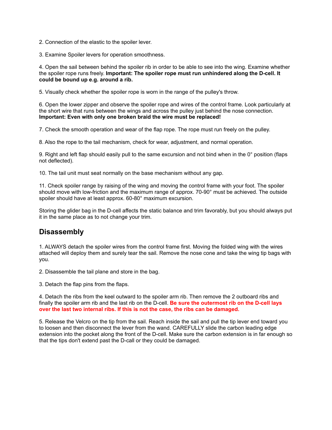- 2. Connection of the elastic to the spoiler lever.
- 3. Examine Spoiler levers for operation smoothness.

4. Open the sail between behind the spoiler rib in order to be able to see into the wing. Examine whether the spoiler rope runs freely. **Important: The spoiler rope must run unhindered along the D-cell. It could be bound up e.g. around a rib.**

5. Visually check whether the spoiler rope is worn in the range of the pulley's throw.

6. Open the lower zipper and observe the spoiler rope and wires of the control frame. Look particularly at the short wire that runs between the wings and across the pulley just behind the nose connection. **Important: Even with only one broken braid the wire must be replaced!**

7. Check the smooth operation and wear of the flap rope. The rope must run freely on the pulley.

8. Also the rope to the tail mechanism, check for wear, adjustment, and normal operation.

9. Right and left flap should easily pull to the same excursion and not bind when in the 0° position (flaps not deflected).

10. The tail unit must seat normally on the base mechanism without any gap.

11. Check spoiler range by raising of the wing and moving the control frame with your foot. The spoiler should move with low-friction and the maximum range of approx. 70-90° must be achieved. The outside spoiler should have at least approx. 60-80° maximum excursion.

Storing the glider bag in the D-cell affects the static balance and trim favorably, but you should always put it in the same place as to not change your trim.

#### **Disassembly**

1. ALWAYS detach the spoiler wires from the control frame first. Moving the folded wing with the wires attached will deploy them and surely tear the sail. Remove the nose cone and take the wing tip bags with you.

2. Disassemble the tail plane and store in the bag.

3. Detach the flap pins from the flaps.

4. Detach the ribs from the keel outward to the spoiler arm rib. Then remove the 2 outboard ribs and finally the spoiler arm rib and the last rib on the D-cell. **Be sure the outermost rib on the D-cell lays over the last two internal ribs. If this is not the case, the ribs can be damaged.**

5. Release the Velcro on the tip from the sail. Reach inside the sail and pull the tip lever end toward you to loosen and then disconnect the lever from the wand. CAREFULLY slide the carbon leading edge extension into the pocket along the front of the D-cell. Make sure the carbon extension is in far enough so that the tips don't extend past the D-call or they could be damaged.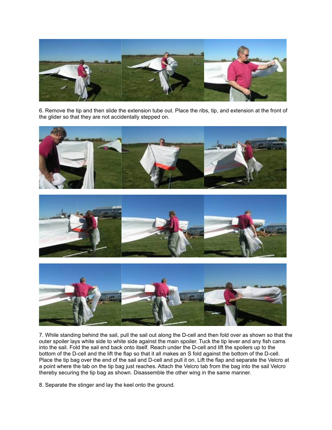![](_page_10_Picture_0.jpeg)

6. Remove the tip and then slide the extension tube out. Place the ribs, tip, and extension at the front of the glider so that they are not accidentally stepped on.

![](_page_10_Picture_2.jpeg)

![](_page_10_Picture_3.jpeg)

![](_page_10_Picture_4.jpeg)

7. While standing behind the sail, pull the sail out along the D-cell and then fold over as shown so that the outer spoiler lays white side to white side against the main spoiler. Tuck the tip lever and any fish cams into the sail. Fold the sail end back onto itself. Reach under the D-cell and lift the spoilers up to the bottom of the D-cell and the lift the flap so that it all makes an S fold against the bottom of the D-cell. Place the tip bag over the end of the sail and D-cell and pull it on. Lift the flap and separate the Velcro at a point where the tab on the tip bag just reaches. Attach the Velcro tab from the bag into the sail Velcro thereby securing the tip bag as shown. Disassemble the other wing in the same manner.

8. Separate the stinger and lay the keel onto the ground.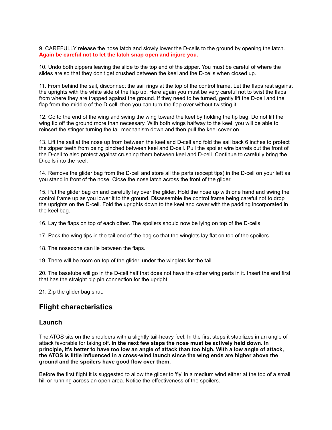9. CAREFULLY release the nose latch and slowly lower the D-cells to the ground by opening the latch. **Again be careful not to let the latch snap open and injure you.**

10. Undo both zippers leaving the slide to the top end of the zipper. You must be careful of where the slides are so that they don't get crushed between the keel and the D-cells when closed up.

11. From behind the sail, disconnect the sail rings at the top of the control frame. Let the flaps rest against the uprights with the white side of the flap up. Here again you must be very careful not to twist the flaps from where they are trapped against the ground. If they need to be turned, gently lift the D-cell and the flap from the middle of the D-cell, then you can turn the flap over without twisting it.

12. Go to the end of the wing and swing the wing toward the keel by holding the tip bag. Do not lift the wing tip off the ground more than necessary. With both wings halfway to the keel, you will be able to reinsert the stinger turning the tail mechanism down and then pull the keel cover on.

13. Lift the sail at the nose up from between the keel and D-cell and fold the sail back 6 inches to protect the zipper teeth from being pinched between keel and D-cell. Pull the spoiler wire barrels out the front of the D-cell to also protect against crushing them between keel and D-cell. Continue to carefully bring the D-cells into the keel.

14. Remove the glider bag from the D-cell and store all the parts (except tips) in the D-cell on your left as you stand in front of the nose. Close the nose latch across the front of the glider.

15. Put the glider bag on and carefully lay over the glider. Hold the nose up with one hand and swing the control frame up as you lower it to the ground. Disassemble the control frame being careful not to drop the uprights on the D-cell. Fold the uprights down to the keel and cover with the padding incorporated in the keel bag.

16. Lay the flaps on top of each other. The spoilers should now be lying on top of the D-cells.

17. Pack the wing tips in the tail end of the bag so that the winglets lay flat on top of the spoilers.

18. The nosecone can lie between the flaps.

19. There will be room on top of the glider, under the winglets for the tail.

20. The basetube will go in the D-cell half that does not have the other wing parts in it. Insert the end first that has the straight pip pin connection for the upright.

21. Zip the glider bag shut.

#### **Flight characteristics**

#### **Launch**

The ATOS sits on the shoulders with a slightly tail-heavy feel. In the first steps it stabilizes in an angle of attack favorable for taking off. **In the next few steps the nose must be actively held down. In principle, it's better to have too low an angle of attack than too high. With a low angle of attack, the ATOS is little influenced in a cross-wind launch since the wing ends are higher above the ground and the spoilers have good flow over them.**

Before the first flight it is suggested to allow the glider to 'fly' in a medium wind either at the top of a small hill or running across an open area. Notice the effectiveness of the spoilers.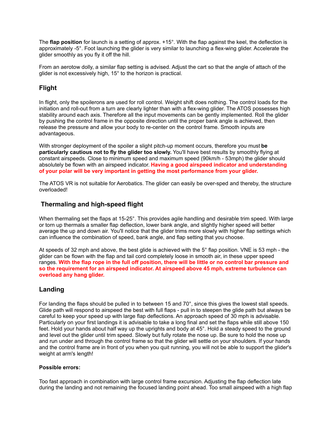The **flap position** for launch is a setting of approx. +15°. With the flap against the keel, the deflection is approximately -5°. Foot launching the glider is very similar to launching a flex-wing glider. Accelerate the glider smoothly as you fly it off the hill.

From an aerotow dolly, a similar flap setting is advised. Adjust the cart so that the angle of attach of the glider is not excessively high, 15° to the horizon is practical.

#### **Flight**

In flight, only the spoilerons are used for roll control. Weight shift does nothing. The control loads for the initiation and roll-out from a turn are clearly lighter than with a flex-wing glider. The ATOS possesses high stability around each axis. Therefore all the input movements can be gently implemented. Roll the glider by pushing the control frame in the opposite direction until the proper bank angle is achieved, then release the pressure and allow your body to re-center on the control frame. Smooth inputs are advantageous.

With stronger deployment of the spoiler a slight pitch-up moment occurs, therefore you must **be particularly cautious not to fly the glider too slowly.** You'll have best results by smoothly flying at constant airspeeds. Close to minimum speed and maximum speed (90km/h - 53mph) the glider should absolutely be flown with an airspeed indicator. **Having a good airspeed indicator and understanding of your polar will be very important in getting the most performance from your glider.**

The ATOS VR is not suitable for Aerobatics. The glider can easily be over-sped and thereby, the structure overloaded!

#### **Thermaling and high-speed flight**

When thermaling set the flaps at 15-25°. This provides agile handling and desirable trim speed. With large or torn up thermals a smaller flap deflection, lower bank angle, and slightly higher speed will better average the up and down air. You'll notice that the glider trims more slowly with higher flap settings which can influence the combination of speed, bank angle, and flap setting that you choose.

At speeds of 32 mph and above, the best glide is achieved with the 5° flap position. VNE is 53 mph - the glider can be flown with the flap and tail cord completely loose in smooth air, in these upper speed ranges. **With the flap rope in the full off position, there will be little or no control bar pressure and so the requirement for an airspeed indicator. At airspeed above 45 mph, extreme turbulence can overload any hang glider.**

#### **Landing**

For landing the flaps should be pulled in to between 15 and 70°, since this gives the lowest stall speeds. Glide path will respond to airspeed the best with full flaps - pull in to steepen the glide path but always be careful to keep your speed up with large flap deflections. An approach speed of 30 mph is advisable. Particularly on your first landings it is advisable to take a long final and set the flaps while still above 150 feet. Hold your hands about half way up the uprights and body at 45°. Hold a steady speed to the ground and level out the glider until trim speed. Slowly but fully rotate the nose up. Be sure to hold the nose up and run under and through the control frame so that the glider will settle on your shoulders. If your hands and the control frame are in front of you when you quit running, you will not be able to support the glider's weight at arm's length!

#### **Possible errors:**

Too fast approach in combination with large control frame excursion. Adjusting the flap deflection late during the landing and not remaining the focused landing point ahead. Too small airspeed with a high flap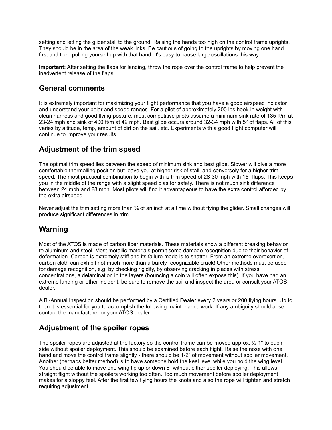setting and letting the glider stall to the ground. Raising the hands too high on the control frame uprights. They should be in the area of the weak links. Be cautious of going to the uprights by moving one hand first and then pulling yourself up with that hand. It's easy to cause large oscillations this way.

**Important:** After setting the flaps for landing, throw the rope over the control frame to help prevent the inadvertent release of the flaps.

#### **General comments**

It is extremely important for maximizing your flight performance that you have a good airspeed indicator and understand your polar and speed ranges. For a pilot of approximately 200 lbs hook-in weight with clean harness and good flying posture, most competitive pilots assume a minimum sink rate of 135 ft/m at 23-24 mph and sink of 400 ft/m at 42 mph. Best glide occurs around 32-34 mph with 5° of flaps. All of this varies by altitude, temp, amount of dirt on the sail, etc. Experiments with a good flight computer will continue to improve your results.

#### **Adjustment of the trim speed**

The optimal trim speed lies between the speed of minimum sink and best glide. Slower will give a more comfortable thermalling position but leave you at higher risk of stall, and conversely for a higher trim speed. The most practical combination to begin with is trim speed of 28-30 mph with 15° flaps. This keeps you in the middle of the range with a slight speed bias for safety. There is not much sink difference between 24 mph and 28 mph. Most pilots will find it advantageous to have the extra control afforded by the extra airspeed.

Never adjust the trim setting more than 1/4 of an inch at a time without flying the glider. Small changes will produce significant differences in trim.

## **Warning**

Most of the ATOS is made of carbon fiber materials. These materials show a different breaking behavior to aluminum and steel. Most metallic materials permit some damage recognition due to their behavior of deformation. Carbon is extremely stiff and its failure mode is to shatter. From an extreme overexertion, carbon cloth can exhibit not much more than a barely recognizable crack! Other methods must be used for damage recognition, e.g. by checking rigidity, by observing cracking in places with stress concentrations, a delamination in the layers (bouncing a coin will often expose this). If you have had an extreme landing or other incident, be sure to remove the sail and inspect the area or consult your ATOS dealer.

A Bi-Annual Inspection should be performed by a Certified Dealer every 2 years or 200 flying hours. Up to then it is essential for you to accomplish the following maintenance work. If any ambiguity should arise, contact the manufacturer or your ATOS dealer.

## **Adjustment of the spoiler ropes**

The spoiler ropes are adjusted at the factory so the control frame can be moved approx. ½-1" to each side without spoiler deployment. This should be examined before each flight. Raise the nose with one hand and move the control frame slightly - there should be 1-2" of movement without spoiler movement. Another (perhaps better method) is to have someone hold the keel level while you hold the wing level. You should be able to move one wing tip up or down 6" without either spoiler deploying. This allows straight flight without the spoilers working too often. Too much movement before spoiler deployment makes for a sloppy feel. After the first few flying hours the knots and also the rope will tighten and stretch requiring adjustment.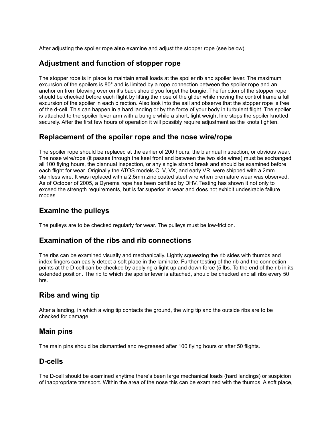After adjusting the spoiler rope **also** examine and adjust the stopper rope (see below).

#### **Adjustment and function of stopper rope**

The stopper rope is in place to maintain small loads at the spoiler rib and spoiler lever. The maximum excursion of the spoilers is 80° and is limited by a rope connection between the spoiler rope and an anchor on from blowing over on it's back should you forget the bungie. The function of the stopper rope should be checked before each flight by lifting the nose of the glider while moving the control frame a full excursion of the spoiler in each direction. Also look into the sail and observe that the stopper rope is free of the d-cell. This can happen in a hard landing or by the force of your body in turbulent flight. The spoiler is attached to the spoiler lever arm with a bungie while a short, light weight line stops the spoiler knotted securely. After the first few hours of operation it will possibly require adjustment as the knots tighten.

#### **Replacement of the spoiler rope and the nose wire/rope**

The spoiler rope should be replaced at the earlier of 200 hours, the biannual inspection, or obvious wear. The nose wire/rope (it passes through the keel front and between the two side wires) must be exchanged all 100 flying hours, the biannual inspection, or any single strand break and should be examined before each flight for wear. Originally the ATOS models C, V, VX, and early VR, were shipped with a 2mm stainless wire. It was replaced with a 2.5mm zinc coated steel wire when premature wear was observed. As of October of 2005, a Dynema rope has been certified by DHV. Testing has shown it not only to exceed the strength requirements, but is far superior in wear and does not exhibit undesirable failure modes.

#### **Examine the pulleys**

The pulleys are to be checked regularly for wear. The pulleys must be low-friction.

#### **Examination of the ribs and rib connections**

The ribs can be examined visually and mechanically. Lightly squeezing the rib sides with thumbs and index fingers can easily detect a soft place in the laminate. Further testing of the rib and the connection points at the D-cell can be checked by applying a light up and down force (5 lbs. To the end of the rib in its extended position. The rib to which the spoiler lever is attached, should be checked and all ribs every 50 hrs.

#### **Ribs and wing tip**

After a landing, in which a wing tip contacts the ground, the wing tip and the outside ribs are to be checked for damage.

#### **Main pins**

The main pins should be dismantled and re-greased after 100 flying hours or after 50 flights.

#### **D-cells**

The D-cell should be examined anytime there's been large mechanical loads (hard landings) or suspicion of inappropriate transport. Within the area of the nose this can be examined with the thumbs. A soft place,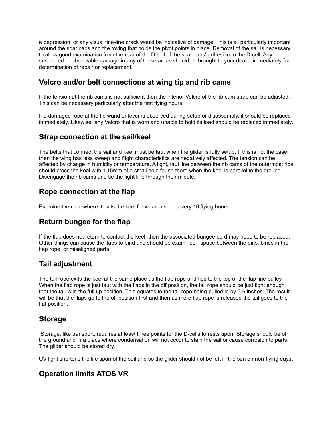a depression, or any visual fine-line crack would be indicative of damage. This is all particularly important around the spar caps and the roving that holds the pivot points in place. Removal of the sail is necessary to allow good examination from the rear of the D-cell of the spar caps' adhesion to the D-cell. Any suspected or observable damage in any of these areas should be brought to your dealer immediately for determination of repair or replacement.

#### **Velcro and/or belt connections at wing tip and rib cams**

If the tension at the rib cams is not sufficient then the interior Velcro of the rib cam strap can be adjusted. This can be necessary particularly after the first flying hours.

If a damaged rope at the tip wand or lever is observed during setup or disassembly, it should be replaced immediately. Likewise, any Velcro that is worn and unable to hold its load should be replaced immediately.

#### **Strap connection at the sail/keel**

The belts that connect the sail and keel must be taut when the glider is fully setup. If this is not the case, then the wing has less sweep and flight characteristics are negatively affected. The tension can be affected by change in humidity or temperature. A light, taut line between the rib cams of the outermost ribs should cross the keel within 15mm of a small hole found there when the keel is parallel to the ground. Disengage the rib cams and tie the light line through their middle.

#### **Rope connection at the flap**

Examine the rope where it exits the keel for wear. Inspect every 10 flying hours.

#### **Return bungee for the flap**

If the flap does not return to contact the keel, then the associated bungee cord may need to be replaced. Other things can cause the flaps to bind and should be examined - space between the pins, binds in the flap rope, or misaligned parts.

#### **Tail adjustment**

The tail rope exits the keel at the same place as the flap rope and ties to the top of the flap line pulley. When the flap rope is just taut with the flaps in the off position, the tail rope should be just tight enough that the tail is in the full up position. This equates to the tail rope being pulled in by 5-6 inches. The result will be that the flaps go to the off position first and then as more flap rope is released the tail goes to the flat position.

#### **Storage**

Storage, like transport, requires at least three points for the D-cells to rests upon. Storage should be off the ground and in a place where condensation will not occur to stain the sail or cause corrosion to parts. The glider should be stored dry.

UV light shortens the life span of the sail and so the glider should not be left in the sun on non-flying days.

## **Operation limits ATOS VR**